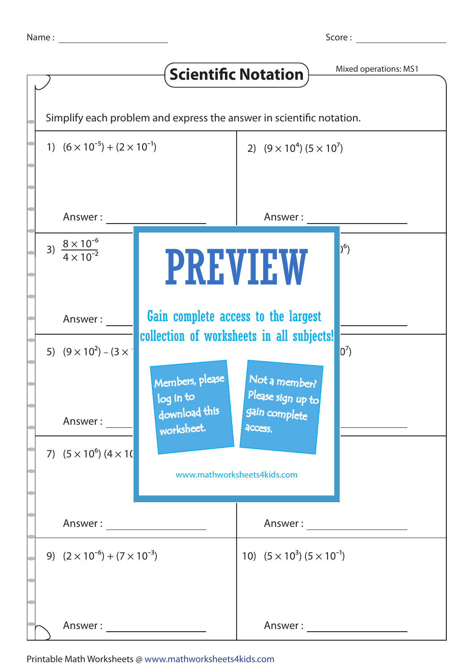|                                                                      |                                                                                  | <b>Scientific Notation</b>                          | Mixed operations: MS1                    |  |  |  |
|----------------------------------------------------------------------|----------------------------------------------------------------------------------|-----------------------------------------------------|------------------------------------------|--|--|--|
| Simplify each problem and express the answer in scientific notation. |                                                                                  |                                                     |                                          |  |  |  |
| 1) $(6 \times 10^{-5}) + (2 \times 10^{-1})$                         |                                                                                  | 2) $(9 \times 10^4) (5 \times 10^7)$                |                                          |  |  |  |
| Answer:                                                              |                                                                                  | Answer:                                             |                                          |  |  |  |
| 3) $\frac{8 \times 10^{-6}}{4 \times 10^{-2}}$                       | <b>PREVIEW</b>                                                                   |                                                     | $(2^6)$                                  |  |  |  |
| Answer:                                                              | Gain complete access to the largest<br>collection of worksheets in all subjects! |                                                     |                                          |  |  |  |
| 5) $(9 \times 10^2) - (3 \times 10^2)$                               | Members, please<br>log in to<br>download this                                    | Not a member?<br>Please sign up to<br>gain complete | $0^7$                                    |  |  |  |
| Answer:<br>7) $(5 \times 10^6)$ $(4 \times 10^6)$                    | worksheet.                                                                       | access.<br>www.mathworksheets4kids.com              |                                          |  |  |  |
| Answer: ___________________                                          |                                                                                  |                                                     |                                          |  |  |  |
|                                                                      | 9) $(2 \times 10^{-6}) + (7 \times 10^{-3})$                                     |                                                     | 10) $(5 \times 10^3) (5 \times 10^{-1})$ |  |  |  |
|                                                                      |                                                                                  | Answer :                                            |                                          |  |  |  |